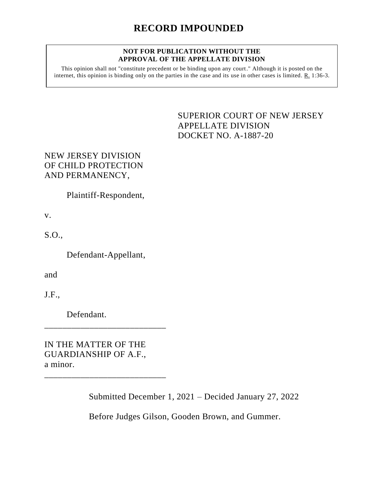#### **NOT FOR PUBLICATION WITHOUT THE APPROVAL OF THE APPELLATE DIVISION**

This opinion shall not "constitute precedent or be binding upon any court." Although it is posted on the internet, this opinion is binding only on the parties in the case and its use in other cases is limited. R. 1:36-3.

> <span id="page-0-0"></span>SUPERIOR COURT OF NEW JERSEY APPELLATE DIVISION DOCKET NO. A-1887-20

# NEW JERSEY DIVISION OF CHILD PROTECTION AND PERMANENCY,

Plaintiff-Respondent,

v.

S.O.,

Defendant-Appellant,

and

J.F.,

Defendant.

IN THE MATTER OF THE GUARDIANSHIP OF A.F., a minor.

\_\_\_\_\_\_\_\_\_\_\_\_\_\_\_\_\_\_\_\_\_\_\_\_\_\_\_

\_\_\_\_\_\_\_\_\_\_\_\_\_\_\_\_\_\_\_\_\_\_\_\_\_\_\_

Submitted December 1, 2021 – Decided January 27, 2022

Before Judges Gilson, Gooden Brown, and Gummer.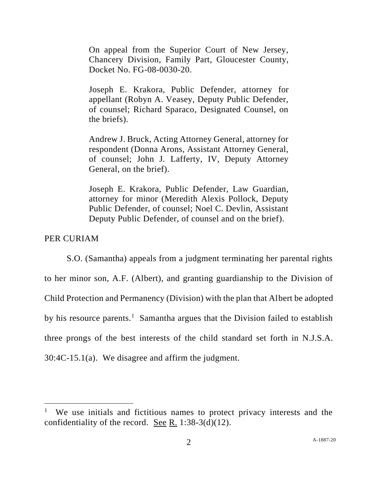On appeal from the Superior Court of New Jersey, Chancery Division, Family Part, Gloucester County, Docket No. FG-08-0030-20.

Joseph E. Krakora, Public Defender, attorney for appellant (Robyn A. Veasey, Deputy Public Defender, of counsel; Richard Sparaco, Designated Counsel, on the briefs).

Andrew J. Bruck, Acting Attorney General, attorney for respondent (Donna Arons, Assistant Attorney General, of counsel; John J. Lafferty, IV, Deputy Attorney General, on the brief).

Joseph E. Krakora, Public Defender, Law Guardian, attorney for minor (Meredith Alexis Pollock, Deputy Public Defender, of counsel; Noel C. Devlin, Assistant Deputy Public Defender, of counsel and on the brief).

## PER CURIAM

S.O. (Samantha) appeals from a judgment terminating her parental rights to her minor son, A.F. (Albert), and granting guardianship to the Division of Child Protection and Permanency (Division) with the plan that Albert be adopted by his resource parents.<sup>1</sup> Samantha argues that the Division failed to establish three prongs of the best interests of the child standard set forth in N.J.S.A. 30:4C-15.1(a). We disagree and affirm the judgment.

<sup>&</sup>lt;sup>1</sup> We use initials and fictitious names to protect privacy interests and the confidentiality of the record. See R. 1:38-3(d)(12).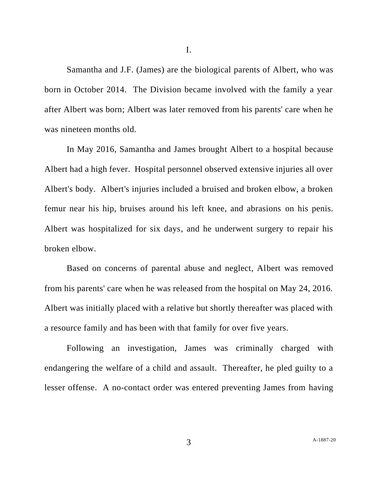Samantha and J.F. (James) are the biological parents of Albert, who was born in October 2014. The Division became involved with the family a year after Albert was born; Albert was later removed from his parents' care when he was nineteen months old.

In May 2016, Samantha and James brought Albert to a hospital because Albert had a high fever. Hospital personnel observed extensive injuries all over Albert's body. Albert's injuries included a bruised and broken elbow, a broken femur near his hip, bruises around his left knee, and abrasions on his penis. Albert was hospitalized for six days, and he underwent surgery to repair his broken elbow.

Based on concerns of parental abuse and neglect, Albert was removed from his parents' care when he was released from the hospital on May 24, 2016. Albert was initially placed with a relative but shortly thereafter was placed with a resource family and has been with that family for over five years.

Following an investigation, James was criminally charged with endangering the welfare of a child and assault. Thereafter, he pled guilty to a lesser offense. A no-contact order was entered preventing James from having

I.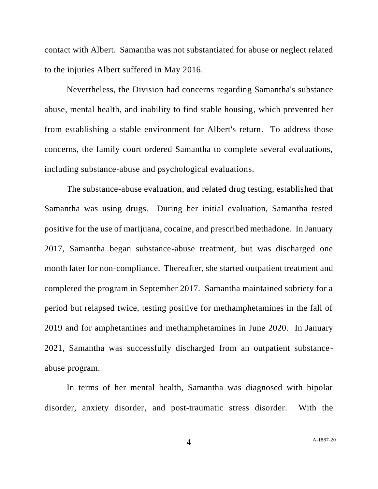contact with Albert. Samantha was not substantiated for abuse or neglect related to the injuries Albert suffered in May 2016.

Nevertheless, the Division had concerns regarding Samantha's substance abuse, mental health, and inability to find stable housing, which prevented her from establishing a stable environment for Albert's return. To address those concerns, the family court ordered Samantha to complete several evaluations, including substance-abuse and psychological evaluations.

The substance-abuse evaluation, and related drug testing, established that Samantha was using drugs. During her initial evaluation, Samantha tested positive for the use of marijuana, cocaine, and prescribed methadone. In January 2017, Samantha began substance-abuse treatment, but was discharged one month later for non-compliance. Thereafter, she started outpatient treatment and completed the program in September 2017. Samantha maintained sobriety for a period but relapsed twice, testing positive for methamphetamines in the fall of 2019 and for amphetamines and methamphetamines in June 2020. In January 2021, Samantha was successfully discharged from an outpatient substanceabuse program.

In terms of her mental health, Samantha was diagnosed with bipolar disorder, anxiety disorder, and post-traumatic stress disorder. With the

A[-1887-20](#page-0-0)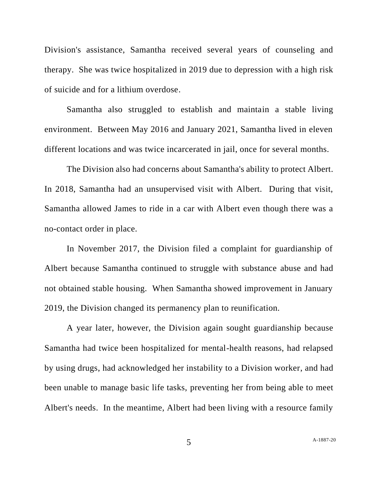Division's assistance, Samantha received several years of counseling and therapy. She was twice hospitalized in 2019 due to depression with a high risk of suicide and for a lithium overdose.

Samantha also struggled to establish and maintain a stable living environment. Between May 2016 and January 2021, Samantha lived in eleven different locations and was twice incarcerated in jail, once for several months.

The Division also had concerns about Samantha's ability to protect Albert. In 2018, Samantha had an unsupervised visit with Albert. During that visit, Samantha allowed James to ride in a car with Albert even though there was a no-contact order in place.

In November 2017, the Division filed a complaint for guardianship of Albert because Samantha continued to struggle with substance abuse and had not obtained stable housing. When Samantha showed improvement in January 2019, the Division changed its permanency plan to reunification.

A year later, however, the Division again sought guardianship because Samantha had twice been hospitalized for mental-health reasons, had relapsed by using drugs, had acknowledged her instability to a Division worker, and had been unable to manage basic life tasks, preventing her from being able to meet Albert's needs. In the meantime, Albert had been living with a resource family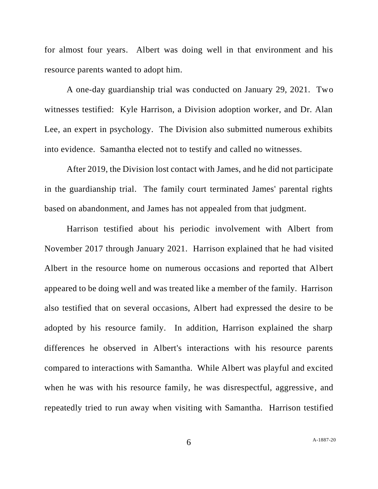for almost four years. Albert was doing well in that environment and his resource parents wanted to adopt him.

A one-day guardianship trial was conducted on January 29, 2021. Two witnesses testified: Kyle Harrison, a Division adoption worker, and Dr. Alan Lee, an expert in psychology. The Division also submitted numerous exhibits into evidence. Samantha elected not to testify and called no witnesses.

After 2019, the Division lost contact with James, and he did not participate in the guardianship trial. The family court terminated James' parental rights based on abandonment, and James has not appealed from that judgment.

Harrison testified about his periodic involvement with Albert from November 2017 through January 2021. Harrison explained that he had visited Albert in the resource home on numerous occasions and reported that Albert appeared to be doing well and was treated like a member of the family. Harrison also testified that on several occasions, Albert had expressed the desire to be adopted by his resource family. In addition, Harrison explained the sharp differences he observed in Albert's interactions with his resource parents compared to interactions with Samantha. While Albert was playful and excited when he was with his resource family, he was disrespectful, aggressive, and repeatedly tried to run away when visiting with Samantha. Harrison testified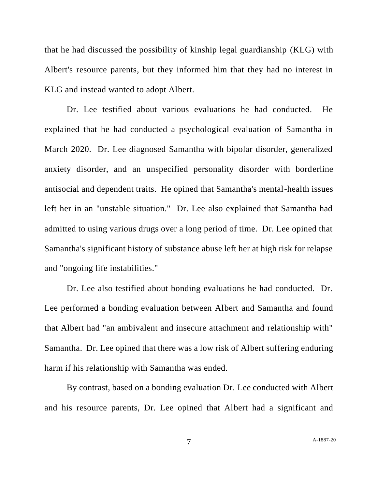that he had discussed the possibility of kinship legal guardianship (KLG) with Albert's resource parents, but they informed him that they had no interest in KLG and instead wanted to adopt Albert.

Dr. Lee testified about various evaluations he had conducted. He explained that he had conducted a psychological evaluation of Samantha in March 2020. Dr. Lee diagnosed Samantha with bipolar disorder, generalized anxiety disorder, and an unspecified personality disorder with borderline antisocial and dependent traits. He opined that Samantha's mental-health issues left her in an "unstable situation." Dr. Lee also explained that Samantha had admitted to using various drugs over a long period of time. Dr. Lee opined that Samantha's significant history of substance abuse left her at high risk for relapse and "ongoing life instabilities."

Dr. Lee also testified about bonding evaluations he had conducted. Dr. Lee performed a bonding evaluation between Albert and Samantha and found that Albert had "an ambivalent and insecure attachment and relationship with" Samantha. Dr. Lee opined that there was a low risk of Albert suffering enduring harm if his relationship with Samantha was ended.

By contrast, based on a bonding evaluation Dr. Lee conducted with Albert and his resource parents, Dr. Lee opined that Albert had a significant and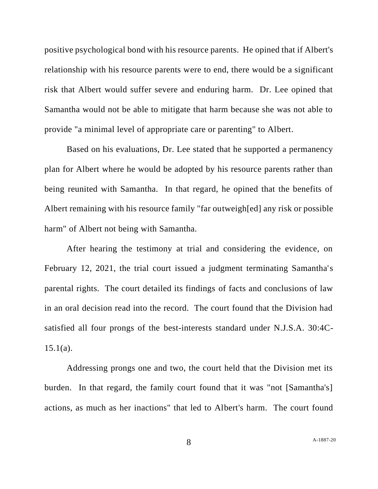positive psychological bond with his resource parents. He opined that if Albert's relationship with his resource parents were to end, there would be a significant risk that Albert would suffer severe and enduring harm. Dr. Lee opined that Samantha would not be able to mitigate that harm because she was not able to provide "a minimal level of appropriate care or parenting" to Albert.

Based on his evaluations, Dr. Lee stated that he supported a permanency plan for Albert where he would be adopted by his resource parents rather than being reunited with Samantha. In that regard, he opined that the benefits of Albert remaining with his resource family "far outweigh[ed] any risk or possible harm" of Albert not being with Samantha.

After hearing the testimony at trial and considering the evidence, on February 12, 2021, the trial court issued a judgment terminating Samantha's parental rights. The court detailed its findings of facts and conclusions of law in an oral decision read into the record. The court found that the Division had satisfied all four prongs of the best-interests standard under N.J.S.A. 30:4C- $15.1(a)$ .

Addressing prongs one and two, the court held that the Division met its burden. In that regard, the family court found that it was "not [Samantha's] actions, as much as her inactions" that led to Albert's harm. The court found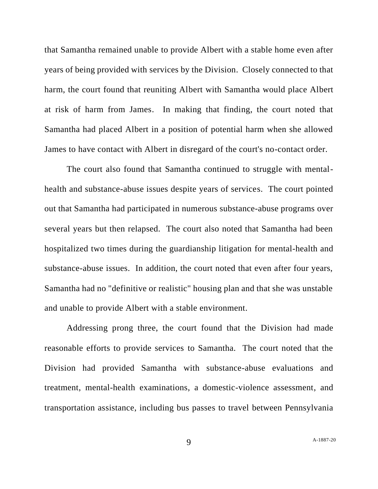that Samantha remained unable to provide Albert with a stable home even after years of being provided with services by the Division. Closely connected to that harm, the court found that reuniting Albert with Samantha would place Albert at risk of harm from James. In making that finding, the court noted that Samantha had placed Albert in a position of potential harm when she allowed James to have contact with Albert in disregard of the court's no-contact order.

The court also found that Samantha continued to struggle with mentalhealth and substance-abuse issues despite years of services. The court pointed out that Samantha had participated in numerous substance-abuse programs over several years but then relapsed. The court also noted that Samantha had been hospitalized two times during the guardianship litigation for mental-health and substance-abuse issues. In addition, the court noted that even after four years, Samantha had no "definitive or realistic" housing plan and that she was unstable and unable to provide Albert with a stable environment.

Addressing prong three, the court found that the Division had made reasonable efforts to provide services to Samantha. The court noted that the Division had provided Samantha with substance-abuse evaluations and treatment, mental-health examinations, a domestic-violence assessment, and transportation assistance, including bus passes to travel between Pennsylvania

9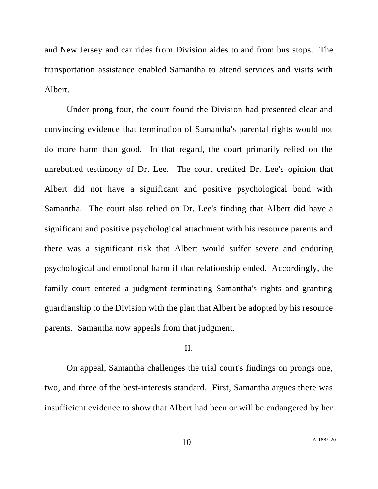and New Jersey and car rides from Division aides to and from bus stops. The transportation assistance enabled Samantha to attend services and visits with Albert.

Under prong four, the court found the Division had presented clear and convincing evidence that termination of Samantha's parental rights would not do more harm than good. In that regard, the court primarily relied on the unrebutted testimony of Dr. Lee. The court credited Dr. Lee's opinion that Albert did not have a significant and positive psychological bond with Samantha. The court also relied on Dr. Lee's finding that Albert did have a significant and positive psychological attachment with his resource parents and there was a significant risk that Albert would suffer severe and enduring psychological and emotional harm if that relationship ended. Accordingly, the family court entered a judgment terminating Samantha's rights and granting guardianship to the Division with the plan that Albert be adopted by his resource parents. Samantha now appeals from that judgment.

#### II.

On appeal, Samantha challenges the trial court's findings on prongs one, two, and three of the best-interests standard. First, Samantha argues there was insufficient evidence to show that Albert had been or will be endangered by her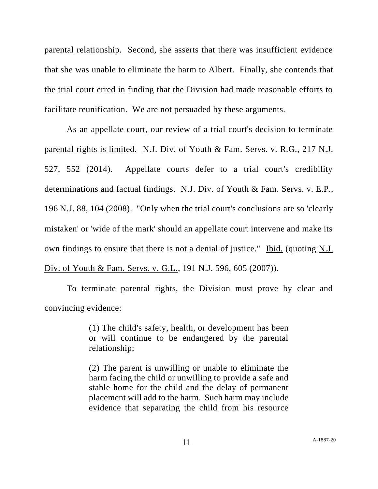parental relationship. Second, she asserts that there was insufficient evidence that she was unable to eliminate the harm to Albert. Finally, she contends that the trial court erred in finding that the Division had made reasonable efforts to facilitate reunification. We are not persuaded by these arguments.

As an appellate court, our review of a trial court's decision to terminate parental rights is limited. N.J. Div. of Youth & Fam. Servs. v. R.G., 217 N.J. 527, 552 (2014). Appellate courts defer to a trial court's credibility determinations and factual findings. N.J. Div. of Youth & Fam. Servs. v. E.P., 196 N.J. 88, 104 (2008). "Only when the trial court's conclusions are so 'clearly mistaken' or 'wide of the mark' should an appellate court intervene and make its own findings to ensure that there is not a denial of justice." Ibid. (quoting N.J. Div. of Youth & Fam. Servs. v. G.L., 191 N.J. 596, 605 (2007)).

To terminate parental rights, the Division must prove by clear and convincing evidence:

> (1) The child's safety, health, or development has been or will continue to be endangered by the parental relationship;

> (2) The parent is unwilling or unable to eliminate the harm facing the child or unwilling to provide a safe and stable home for the child and the delay of permanent placement will add to the harm. Such harm may include evidence that separating the child from his resource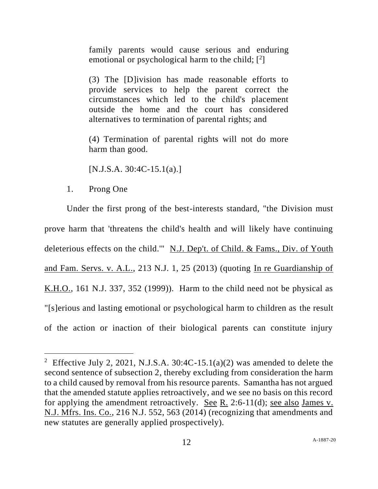family parents would cause serious and enduring emotional or psychological harm to the child;  $[2]$ 

(3) The [D]ivision has made reasonable efforts to provide services to help the parent correct the circumstances which led to the child's placement outside the home and the court has considered alternatives to termination of parental rights; and

(4) Termination of parental rights will not do more harm than good.

 $[N.J.S.A. 30:4C-15.1(a).]$ 

1. Prong One

Under the first prong of the best-interests standard, "the Division must prove harm that 'threatens the child's health and will likely have continuing deleterious effects on the child.'" N.J. Dep't. of Child. & Fams., Div. of Youth and Fam. Servs. v. A.L., 213 N.J. 1, 25 (2013) (quoting In re Guardianship of K.H.O., 161 N.J. 337, 352 (1999)). Harm to the child need not be physical as "[s]erious and lasting emotional or psychological harm to children as the result of the action or inaction of their biological parents can constitute injury

<sup>&</sup>lt;sup>2</sup> Effective July 2, 2021, N.J.S.A. 30:4C-15.1(a)(2) was amended to delete the second sentence of subsection 2, thereby excluding from consideration the harm to a child caused by removal from his resource parents. Samantha has not argued that the amended statute applies retroactively, and we see no basis on this record for applying the amendment retroactively. See R. 2:6-11(d); see also James v. N.J. Mfrs. Ins. Co., 216 N.J. 552, 563 (2014) (recognizing that amendments and new statutes are generally applied prospectively).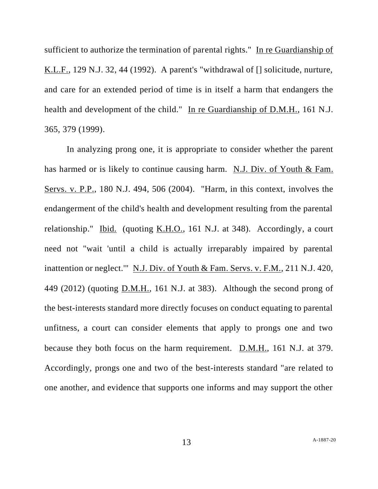sufficient to authorize the termination of parental rights." In re Guardianship of K.L.F., 129 N.J. 32, 44 (1992). A parent's "withdrawal of [] solicitude, nurture, and care for an extended period of time is in itself a harm that endangers the health and development of the child." In re Guardianship of D.M.H., 161 N.J. 365, 379 (1999).

In analyzing prong one, it is appropriate to consider whether the parent has harmed or is likely to continue causing harm. N.J. Div. of Youth & Fam. Servs. v. P.P., 180 N.J. 494, 506 (2004). "Harm, in this context, involves the endangerment of the child's health and development resulting from the parental relationship." Ibid. (quoting K.H.O., 161 N.J. at 348). Accordingly, a court need not "wait 'until a child is actually irreparably impaired by parental inattention or neglect.'" N.J. Div. of Youth & Fam. Servs. v. F.M., 211 N.J. 420, 449 (2012) (quoting D.M.H., 161 N.J. at 383). Although the second prong of the best-interests standard more directly focuses on conduct equating to parental unfitness, a court can consider elements that apply to prongs one and two because they both focus on the harm requirement. D.M.H., 161 N.J. at 379. Accordingly, prongs one and two of the best-interests standard "are related to one another, and evidence that supports one informs and may support the other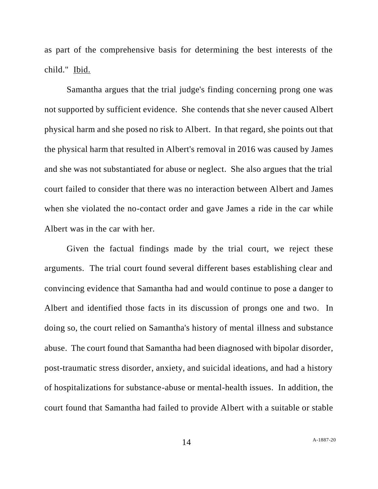as part of the comprehensive basis for determining the best interests of the child." Ibid.

Samantha argues that the trial judge's finding concerning prong one was not supported by sufficient evidence. She contends that she never caused Albert physical harm and she posed no risk to Albert. In that regard, she points out that the physical harm that resulted in Albert's removal in 2016 was caused by James and she was not substantiated for abuse or neglect. She also argues that the trial court failed to consider that there was no interaction between Albert and James when she violated the no-contact order and gave James a ride in the car while Albert was in the car with her.

Given the factual findings made by the trial court, we reject these arguments. The trial court found several different bases establishing clear and convincing evidence that Samantha had and would continue to pose a danger to Albert and identified those facts in its discussion of prongs one and two. In doing so, the court relied on Samantha's history of mental illness and substance abuse. The court found that Samantha had been diagnosed with bipolar disorder, post-traumatic stress disorder, anxiety, and suicidal ideations, and had a history of hospitalizations for substance-abuse or mental-health issues. In addition, the court found that Samantha had failed to provide Albert with a suitable or stable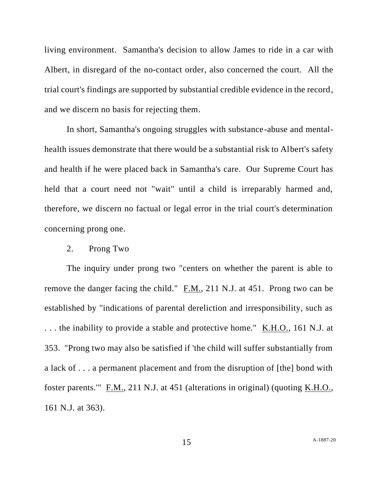living environment. Samantha's decision to allow James to ride in a car with Albert, in disregard of the no-contact order, also concerned the court. All the trial court's findings are supported by substantial credible evidence in the record, and we discern no basis for rejecting them.

In short, Samantha's ongoing struggles with substance-abuse and mentalhealth issues demonstrate that there would be a substantial risk to Albert's safety and health if he were placed back in Samantha's care. Our Supreme Court has held that a court need not "wait" until a child is irreparably harmed and, therefore, we discern no factual or legal error in the trial court's determination concerning prong one.

#### 2. Prong Two

The inquiry under prong two "centers on whether the parent is able to remove the danger facing the child." F.M., 211 N.J. at 451. Prong two can be established by "indications of parental dereliction and irresponsibility, such as . . . the inability to provide a stable and protective home." K.H.O., 161 N.J. at 353. "Prong two may also be satisfied if 'the child will suffer substantially from a lack of . . . a permanent placement and from the disruption of [the] bond with foster parents.'" F.M., 211 N.J. at 451 (alterations in original) (quoting K.H.O., 161 N.J. at 363).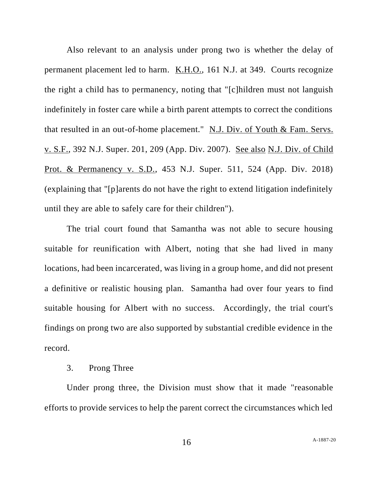Also relevant to an analysis under prong two is whether the delay of permanent placement led to harm. K.H.O., 161 N.J. at 349. Courts recognize the right a child has to permanency, noting that "[c]hildren must not languish indefinitely in foster care while a birth parent attempts to correct the conditions that resulted in an out-of-home placement." N.J. Div. of Youth & Fam. Servs. v. S.F., 392 N.J. Super. 201, 209 (App. Div. 2007). See also N.J. Div. of Child Prot. & Permanency v. S.D., 453 N.J. Super. 511, 524 (App. Div. 2018) (explaining that "[p]arents do not have the right to extend litigation indefinitely until they are able to safely care for their children").

The trial court found that Samantha was not able to secure housing suitable for reunification with Albert, noting that she had lived in many locations, had been incarcerated, was living in a group home, and did not present a definitive or realistic housing plan. Samantha had over four years to find suitable housing for Albert with no success. Accordingly, the trial court's findings on prong two are also supported by substantial credible evidence in the record.

### 3. Prong Three

Under prong three, the Division must show that it made "reasonable efforts to provide services to help the parent correct the circumstances which led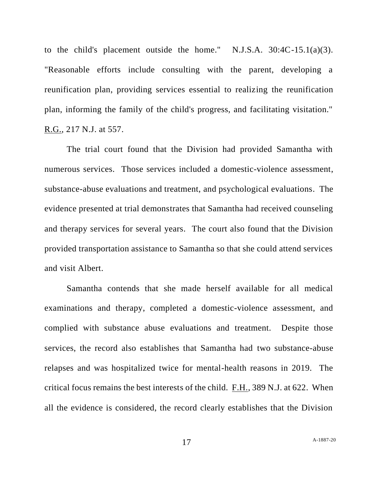to the child's placement outside the home." N.J.S.A.  $30:4C-15.1(a)(3)$ . "Reasonable efforts include consulting with the parent, developing a reunification plan, providing services essential to realizing the reunification plan, informing the family of the child's progress, and facilitating visitation." R.G., 217 N.J. at 557.

The trial court found that the Division had provided Samantha with numerous services. Those services included a domestic-violence assessment, substance-abuse evaluations and treatment, and psychological evaluations. The evidence presented at trial demonstrates that Samantha had received counseling and therapy services for several years. The court also found that the Division provided transportation assistance to Samantha so that she could attend services and visit Albert.

Samantha contends that she made herself available for all medical examinations and therapy, completed a domestic-violence assessment, and complied with substance abuse evaluations and treatment. Despite those services, the record also establishes that Samantha had two substance-abuse relapses and was hospitalized twice for mental-health reasons in 2019. The critical focus remains the best interests of the child. F.H., 389 N.J. at 622. When all the evidence is considered, the record clearly establishes that the Division